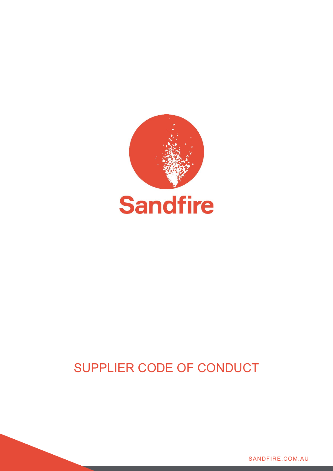

# SUPPLIER CODE OF CONDUCT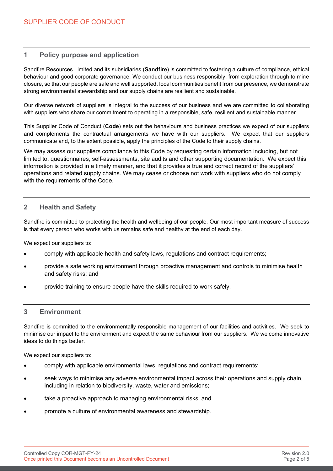# **1 Policy purpose and application**

Sandfire Resources Limited and its subsidiaries (**Sandfire**) is committed to fostering a culture of compliance, ethical behaviour and good corporate governance. We conduct our business responsibly, from exploration through to mine closure, so that our people are safe and well supported, local communities benefit from our presence, we demonstrate strong environmental stewardship and our supply chains are resilient and sustainable.

Our diverse network of suppliers is integral to the success of our business and we are committed to collaborating with suppliers who share our commitment to operating in a responsible, safe, resilient and sustainable manner.

This Supplier Code of Conduct (**Code**) sets out the behaviours and business practices we expect of our suppliers and complements the contractual arrangements we have with our suppliers. We expect that our suppliers communicate and, to the extent possible, apply the principles of the Code to their supply chains.

We may assess our suppliers compliance to this Code by requesting certain information including, but not limited to, questionnaires, self-assessments, site audits and other supporting documentation. We expect this information is provided in a timely manner, and that it provides a true and correct record of the suppliers' operations and related supply chains. We may cease or choose not work with suppliers who do not comply with the requirements of the Code.

## **2 Health and Safety**

Sandfire is committed to protecting the health and wellbeing of our people. Our most important measure of success is that every person who works with us remains safe and healthy at the end of each day.

We expect our suppliers to:

- comply with applicable health and safety laws, regulations and contract requirements;
- provide a safe working environment through proactive management and controls to minimise health and safety risks; and
- provide training to ensure people have the skills required to work safely.

## **3 Environment**

Sandfire is committed to the environmentally responsible management of our facilities and activities. We seek to minimise our impact to the environment and expect the same behaviour from our suppliers. We welcome innovative ideas to do things better.

We expect our suppliers to:

- comply with applicable environmental laws, regulations and contract requirements;
- seek ways to minimise any adverse environmental impact across their operations and supply chain, including in relation to biodiversity, waste, water and emissions;
- take a proactive approach to managing environmental risks; and
- promote a culture of environmental awareness and stewardship.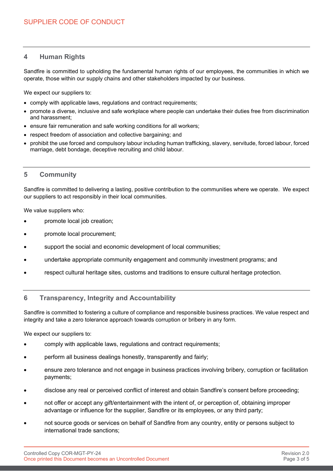# **4 Human Rights**

Sandfire is committed to upholding the fundamental human rights of our employees, the communities in which we operate, those within our supply chains and other stakeholders impacted by our business.

We expect our suppliers to:

- comply with applicable laws, regulations and contract requirements;
- promote a diverse, inclusive and safe workplace where people can undertake their duties free from discrimination and harassment;
- ensure fair remuneration and safe working conditions for all workers:
- respect freedom of association and collective bargaining; and
- prohibit the use forced and compulsory labour including human trafficking, slavery, servitude, forced labour, forced marriage, debt bondage, deceptive recruiting and child labour.

## **5 Community**

Sandfire is committed to delivering a lasting, positive contribution to the communities where we operate. We expect our suppliers to act responsibly in their local communities.

We value suppliers who:

- promote local job creation;
- promote local procurement;
- support the social and economic development of local communities:
- undertake appropriate community engagement and community investment programs; and
- respect cultural heritage sites, customs and traditions to ensure cultural heritage protection.

## **6 Transparency, Integrity and Accountability**

Sandfire is committed to fostering a culture of compliance and responsible business practices. We value respect and integrity and take a zero tolerance approach towards corruption or bribery in any form.

We expect our suppliers to:

- comply with applicable laws, regulations and contract requirements;
- perform all business dealings honestly, transparently and fairly;
- ensure zero tolerance and not engage in business practices involving bribery, corruption or facilitation payments;
- disclose any real or perceived conflict of interest and obtain Sandfire's consent before proceeding;
- not offer or accept any gift/entertainment with the intent of, or perception of, obtaining improper advantage or influence for the supplier, Sandfire or its employees, or any third party;
- not source goods or services on behalf of Sandfire from any country, entity or persons subject to international trade sanctions;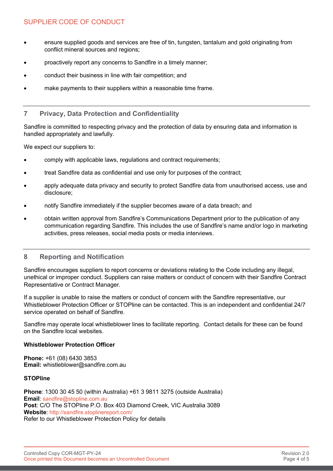# SUPPLIER CODE OF CONDUCT

- ensure supplied goods and services are free of tin, tungsten, tantalum and gold originating from conflict mineral sources and regions;
- proactively report any concerns to Sandfire in a timely manner;
- conduct their business in line with fair competition; and
- make payments to their suppliers within a reasonable time frame.

# **7 Privacy, Data Protection and Confidentiality**

Sandfire is committed to respecting privacy and the protection of data by ensuring data and information is handled appropriately and lawfully.

We expect our suppliers to:

- comply with applicable laws, regulations and contract requirements;
- treat Sandfire data as confidential and use only for purposes of the contract;
- apply adequate data privacy and security to protect Sandfire data from unauthorised access, use and disclosure;
- notify Sandfire immediately if the supplier becomes aware of a data breach; and
- obtain written approval from Sandfire's Communications Department prior to the publication of any communication regarding Sandfire. This includes the use of Sandfire's name and/or logo in marketing activities, press releases, social media posts or media interviews.

# **8 Reporting and Notification**

Sandfire encourages suppliers to report concerns or deviations relating to the Code including any illegal, unethical or improper conduct. Suppliers can raise matters or conduct of concern with their Sandfire Contract Representative or Contract Manager.

If a supplier is unable to raise the matters or conduct of concern with the Sandfire representative, our Whistleblower Protection Officer or STOPline can be contacted. This is an independent and confidential 24/7 service operated on behalf of Sandfire.

Sandfire may operate local whistleblower lines to facilitate reporting. Contact details for these can be found on the Sandfire local websites.

## **Whistleblower Protection Officer**

**Phone:** +61 (08) 6430 3853 **Email:** whistleblower@sandfire.com.au

## **STOPline**

**Phone**: 1300 30 45 50 (within Australia) +61 3 9811 3275 (outside Australia) **Email**: [sandfire@stopline.com.au](mailto:sandfire@stopline.com.au) **Post**: C/O The STOPline P.O. Box 403 Diamond Creek, VIC Australia 3089 **Website**:<http://sandfire.stoplinereport.com/> Refer to our Whistleblower Protection Policy for details